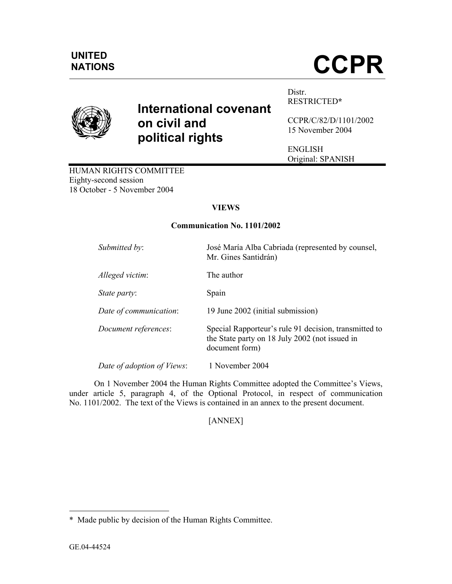# NATIONS **CCPR**

# **International covenant on civil and political rights**

Distr. RESTRICTED**\***

CCPR/C/82/D/1101/2002 15 November 2004

ENGLISH Original: SPANISH

HUMAN RIGHTS COMMITTEE Eighty-second session 18 October - 5 November 2004

## **VIEWS**

### **Communication No. 1101/2002**

| Submitted by:              | José María Alba Cabriada (represented by counsel,<br>Mr. Gines Santidrán)                                                 |
|----------------------------|---------------------------------------------------------------------------------------------------------------------------|
| Alleged victim:            | The author                                                                                                                |
| State party:               | Spain                                                                                                                     |
| Date of communication:     | 19 June 2002 (initial submission)                                                                                         |
| Document references:       | Special Rapporteur's rule 91 decision, transmitted to<br>the State party on 18 July 2002 (not issued in<br>document form) |
| Date of adoption of Views: | 1 November 2004                                                                                                           |

 On 1 November 2004 the Human Rights Committee adopted the Committee's Views, under article 5, paragraph 4, of the Optional Protocol, in respect of communication No. 1101/2002. The text of the Views is contained in an annex to the present document.

[ANNEX]

-

<sup>\*</sup> Made public by decision of the Human Rights Committee.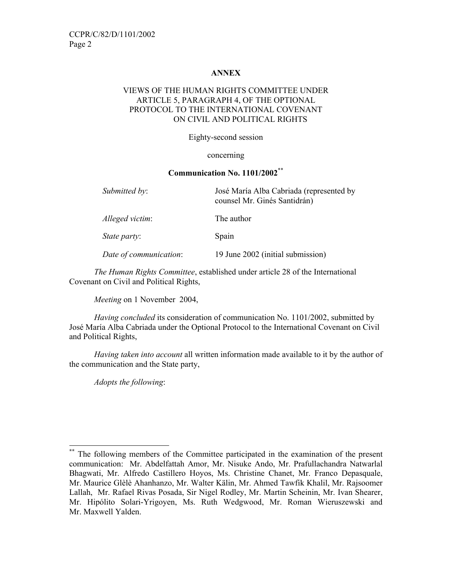#### **ANNEX**

#### VIEWS OF THE HUMAN RIGHTS COMMITTEE UNDER ARTICLE 5, PARAGRAPH 4, OF THE OPTIONAL PROTOCOL TO THE INTERNATIONAL COVENANT ON CIVIL AND POLITICAL RIGHTS

Eighty-second session

#### concerning

#### **Communication No. 1101/2002**\*\*

| Submitted by:          | José María Alba Cabriada (represented by<br>counsel Mr. Ginés Santidrán) |
|------------------------|--------------------------------------------------------------------------|
| Alleged victim:        | The author                                                               |
| <i>State party:</i>    | Spain                                                                    |
| Date of communication: | 19 June 2002 (initial submission)                                        |

*The Human Rights Committee*, established under article 28 of the International Covenant on Civil and Political Rights,

*Meeting* on 1 November 2004,

*Having concluded* its consideration of communication No. 1101/2002, submitted by José María Alba Cabriada under the Optional Protocol to the International Covenant on Civil and Political Rights,

*Having taken into account* all written information made available to it by the author of the communication and the State party,

*Adopts the following*:

-

The following members of the Committee participated in the examination of the present communication: Mr. Abdelfattah Amor, Mr. Nisuke Ando, Mr. Prafullachandra Natwarlal Bhagwati, Mr. Alfredo Castillero Hoyos, Ms. Christine Chanet, Mr. Franco Depasquale, Mr. Maurice Glèlè Ahanhanzo, Mr. Walter Kälin, Mr. Ahmed Tawfik Khalil, Mr. Rajsoomer Lallah, Mr. Rafael Rivas Posada, Sir Nigel Rodley, Mr. Martin Scheinin, Mr. Ivan Shearer, Mr. Hipólito Solari-Yrigoyen, Ms. Ruth Wedgwood, Mr. Roman Wieruszewski and Mr. Maxwell Yalden.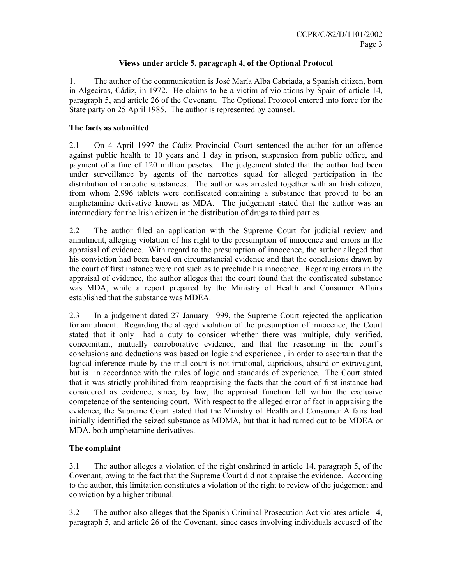#### **Views under article 5, paragraph 4, of the Optional Protocol**

1. The author of the communication is José María Alba Cabriada, a Spanish citizen, born in Algeciras, Cádiz, in 1972. He claims to be a victim of violations by Spain of article 14, paragraph 5, and article 26 of the Covenant. The Optional Protocol entered into force for the State party on 25 April 1985. The author is represented by counsel.

#### **The facts as submitted**

2.1 On 4 April 1997 the Cádiz Provincial Court sentenced the author for an offence against public health to 10 years and 1 day in prison, suspension from public office, and payment of a fine of 120 million pesetas. The judgement stated that the author had been under surveillance by agents of the narcotics squad for alleged participation in the distribution of narcotic substances. The author was arrested together with an Irish citizen, from whom 2,996 tablets were confiscated containing a substance that proved to be an amphetamine derivative known as MDA. The judgement stated that the author was an intermediary for the Irish citizen in the distribution of drugs to third parties.

2.2 The author filed an application with the Supreme Court for judicial review and annulment, alleging violation of his right to the presumption of innocence and errors in the appraisal of evidence. With regard to the presumption of innocence, the author alleged that his conviction had been based on circumstancial evidence and that the conclusions drawn by the court of first instance were not such as to preclude his innocence. Regarding errors in the appraisal of evidence, the author alleges that the court found that the confiscated substance was MDA, while a report prepared by the Ministry of Health and Consumer Affairs established that the substance was MDEA.

2.3 In a judgement dated 27 January 1999, the Supreme Court rejected the application for annulment. Regarding the alleged violation of the presumption of innocence, the Court stated that it only had a duty to consider whether there was multiple, duly verified, concomitant, mutually corroborative evidence, and that the reasoning in the court's conclusions and deductions was based on logic and experience , in order to ascertain that the logical inference made by the trial court is not irrational, capricious, absurd or extravagant, but is in accordance with the rules of logic and standards of experience. The Court stated that it was strictly prohibited from reappraising the facts that the court of first instance had considered as evidence, since, by law, the appraisal function fell within the exclusive competence of the sentencing court. With respect to the alleged error of fact in appraising the evidence, the Supreme Court stated that the Ministry of Health and Consumer Affairs had initially identified the seized substance as MDMA, but that it had turned out to be MDEA or MDA, both amphetamine derivatives.

#### **The complaint**

3.1 The author alleges a violation of the right enshrined in article 14, paragraph 5, of the Covenant, owing to the fact that the Supreme Court did not appraise the evidence. According to the author, this limitation constitutes a violation of the right to review of the judgement and conviction by a higher tribunal.

3.2 The author also alleges that the Spanish Criminal Prosecution Act violates article 14, paragraph 5, and article 26 of the Covenant, since cases involving individuals accused of the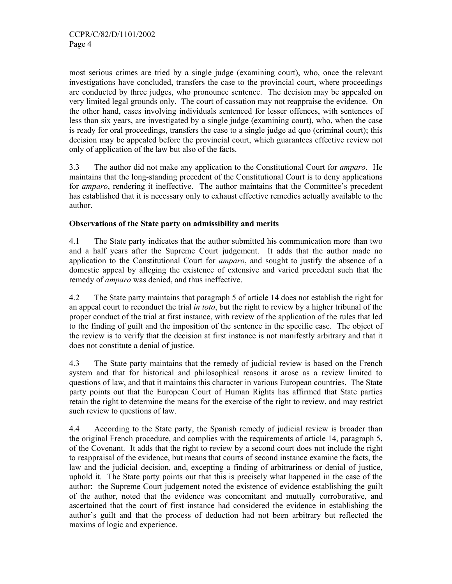most serious crimes are tried by a single judge (examining court), who, once the relevant investigations have concluded, transfers the case to the provincial court, where proceedings are conducted by three judges, who pronounce sentence. The decision may be appealed on very limited legal grounds only. The court of cassation may not reappraise the evidence. On the other hand, cases involving individuals sentenced for lesser offences, with sentences of less than six years, are investigated by a single judge (examining court), who, when the case is ready for oral proceedings, transfers the case to a single judge ad quo (criminal court); this decision may be appealed before the provincial court, which guarantees effective review not only of application of the law but also of the facts.

3.3 The author did not make any application to the Constitutional Court for *amparo*. He maintains that the long-standing precedent of the Constitutional Court is to deny applications for *amparo*, rendering it ineffective. The author maintains that the Committee's precedent has established that it is necessary only to exhaust effective remedies actually available to the author.

#### **Observations of the State party on admissibility and merits**

4.1 The State party indicates that the author submitted his communication more than two and a half years after the Supreme Court judgement. It adds that the author made no application to the Constitutional Court for *amparo*, and sought to justify the absence of a domestic appeal by alleging the existence of extensive and varied precedent such that the remedy of *amparo* was denied, and thus ineffective.

4.2 The State party maintains that paragraph 5 of article 14 does not establish the right for an appeal court to reconduct the trial *in toto*, but the right to review by a higher tribunal of the proper conduct of the trial at first instance, with review of the application of the rules that led to the finding of guilt and the imposition of the sentence in the specific case. The object of the review is to verify that the decision at first instance is not manifestly arbitrary and that it does not constitute a denial of justice.

4.3 The State party maintains that the remedy of judicial review is based on the French system and that for historical and philosophical reasons it arose as a review limited to questions of law, and that it maintains this character in various European countries. The State party points out that the European Court of Human Rights has affirmed that State parties retain the right to determine the means for the exercise of the right to review, and may restrict such review to questions of law.

4.4 According to the State party, the Spanish remedy of judicial review is broader than the original French procedure, and complies with the requirements of article 14, paragraph 5, of the Covenant. It adds that the right to review by a second court does not include the right to reappraisal of the evidence, but means that courts of second instance examine the facts, the law and the judicial decision, and, excepting a finding of arbitrariness or denial of justice, uphold it. The State party points out that this is precisely what happened in the case of the author: the Supreme Court judgement noted the existence of evidence establishing the guilt of the author, noted that the evidence was concomitant and mutually corroborative, and ascertained that the court of first instance had considered the evidence in establishing the author's guilt and that the process of deduction had not been arbitrary but reflected the maxims of logic and experience.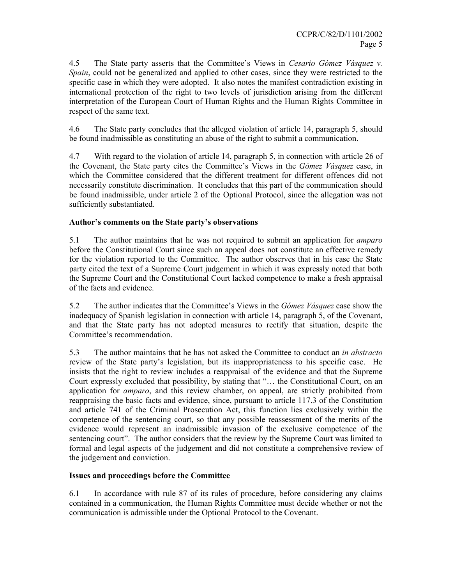4.5 The State party asserts that the Committee's Views in *Cesario Gómez Vásquez v. Spain*, could not be generalized and applied to other cases, since they were restricted to the specific case in which they were adopted. It also notes the manifest contradiction existing in international protection of the right to two levels of jurisdiction arising from the different interpretation of the European Court of Human Rights and the Human Rights Committee in respect of the same text.

4.6 The State party concludes that the alleged violation of article 14, paragraph 5, should be found inadmissible as constituting an abuse of the right to submit a communication.

4.7 With regard to the violation of article 14, paragraph 5, in connection with article 26 of the Covenant, the State party cites the Committee's Views in the *Gómez Vásquez* case, in which the Committee considered that the different treatment for different offences did not necessarily constitute discrimination. It concludes that this part of the communication should be found inadmissible, under article 2 of the Optional Protocol, since the allegation was not sufficiently substantiated.

#### **Author's comments on the State party's observations**

5.1 The author maintains that he was not required to submit an application for *amparo* before the Constitutional Court since such an appeal does not constitute an effective remedy for the violation reported to the Committee. The author observes that in his case the State party cited the text of a Supreme Court judgement in which it was expressly noted that both the Supreme Court and the Constitutional Court lacked competence to make a fresh appraisal of the facts and evidence.

5.2 The author indicates that the Committee's Views in the *Gómez Vásquez* case show the inadequacy of Spanish legislation in connection with article 14, paragraph 5, of the Covenant, and that the State party has not adopted measures to rectify that situation, despite the Committee's recommendation.

5.3 The author maintains that he has not asked the Committee to conduct an *in abstracto* review of the State party's legislation, but its inappropriateness to his specific case. He insists that the right to review includes a reappraisal of the evidence and that the Supreme Court expressly excluded that possibility, by stating that "… the Constitutional Court, on an application for *amparo*, and this review chamber, on appeal, are strictly prohibited from reappraising the basic facts and evidence, since, pursuant to article 117.3 of the Constitution and article 741 of the Criminal Prosecution Act, this function lies exclusively within the competence of the sentencing court, so that any possible reassessment of the merits of the evidence would represent an inadmissible invasion of the exclusive competence of the sentencing court". The author considers that the review by the Supreme Court was limited to formal and legal aspects of the judgement and did not constitute a comprehensive review of the judgement and conviction.

#### **Issues and proceedings before the Committee**

6.1 In accordance with rule 87 of its rules of procedure, before considering any claims contained in a communication, the Human Rights Committee must decide whether or not the communication is admissible under the Optional Protocol to the Covenant.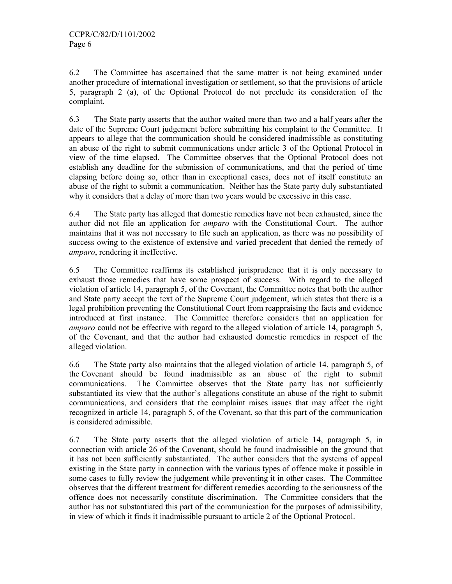6.2 The Committee has ascertained that the same matter is not being examined under another procedure of international investigation or settlement, so that the provisions of article 5, paragraph 2 (a), of the Optional Protocol do not preclude its consideration of the complaint.

6.3 The State party asserts that the author waited more than two and a half years after the date of the Supreme Court judgement before submitting his complaint to the Committee. It appears to allege that the communication should be considered inadmissible as constituting an abuse of the right to submit communications under article 3 of the Optional Protocol in view of the time elapsed. The Committee observes that the Optional Protocol does not establish any deadline for the submission of communications, and that the period of time elapsing before doing so, other than in exceptional cases, does not of itself constitute an abuse of the right to submit a communication. Neither has the State party duly substantiated why it considers that a delay of more than two years would be excessive in this case.

6.4 The State party has alleged that domestic remedies have not been exhausted, since the author did not file an application for *amparo* with the Constitutional Court. The author maintains that it was not necessary to file such an application, as there was no possibility of success owing to the existence of extensive and varied precedent that denied the remedy of *amparo*, rendering it ineffective.

6.5 The Committee reaffirms its established jurisprudence that it is only necessary to exhaust those remedies that have some prospect of success. With regard to the alleged violation of article 14, paragraph 5, of the Covenant, the Committee notes that both the author and State party accept the text of the Supreme Court judgement, which states that there is a legal prohibition preventing the Constitutional Court from reappraising the facts and evidence introduced at first instance. The Committee therefore considers that an application for *amparo* could not be effective with regard to the alleged violation of article 14, paragraph 5, of the Covenant, and that the author had exhausted domestic remedies in respect of the alleged violation.

6.6 The State party also maintains that the alleged violation of article 14, paragraph 5, of the Covenant should be found inadmissible as an abuse of the right to submit communications. The Committee observes that the State party has not sufficiently substantiated its view that the author's allegations constitute an abuse of the right to submit communications, and considers that the complaint raises issues that may affect the right recognized in article 14, paragraph 5, of the Covenant, so that this part of the communication is considered admissible.

6.7 The State party asserts that the alleged violation of article 14, paragraph 5, in connection with article 26 of the Covenant, should be found inadmissible on the ground that it has not been sufficiently substantiated. The author considers that the systems of appeal existing in the State party in connection with the various types of offence make it possible in some cases to fully review the judgement while preventing it in other cases. The Committee observes that the different treatment for different remedies according to the seriousness of the offence does not necessarily constitute discrimination. The Committee considers that the author has not substantiated this part of the communication for the purposes of admissibility, in view of which it finds it inadmissible pursuant to article 2 of the Optional Protocol.